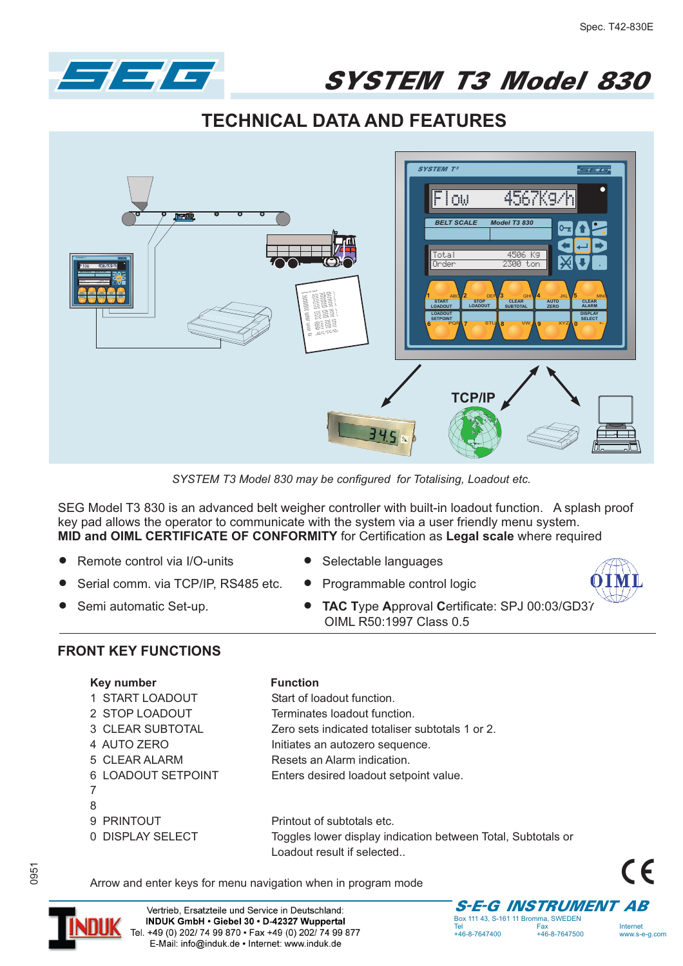

SYSTEM T3 Model 830

**TECHNICAL DATA AND FEATURES**



*SYSTEM T3 Model 830 may be configured for Totalising, Loadout etc.*

SEG Model T3 830 is an advanced belt weigher controller with built-in loadout function. A splash proof key pad allows the operator to communicate with the system via a user friendly menu system. **MID and OIML CERTIFICATE OF CONFORMITY** for Certification as **Legal scale** where required

- $\bullet$ Remote control via I/O-units
- $\bullet$ Serial comm. via TCP/IP, RS485 etc.
- $\bullet$ Semi automatic Set-up.
- $\bullet$ Selectable languages
- $\bullet$ Programmable control logic
- **TAC Type Approval Certificate: SPJ 00:03/GD37** OIML R50:1997 Class 0.5



## **FRONT KEY FUNCTIONS**

| Key number |  |
|------------|--|
|------------|--|

- 1 START LOADOUT Start of loadout function.
- 2 STOP LOADOUT Terminates loadout function.
- 3 CLEAR SUBTOTAL Zero sets indicated totaliser subtotals 1 or 2.
- 4 AUTO ZERO **Initiates an autozero sequence.**
- 5 CLEAR ALARM Resets an Alarm indication.
- 6 LOADOUT SETPOINT Enters desired loadout setpoint value.
- 7
- 8

9 PRINTOUT Printout of subtotals etc. 0 DISPLAY SELECT Toggles lower display indication between Total, Subtotals or Loadout result if selected..

Arrow and enter keys for menu navigation when in program mode

**Function** 





Vertrieb, Ersatzteile und Service in Deutschland: INDUK GmbH . Giebel 30 . D-42327 Wuppertal Tel. +49 (0) 202/ 74 99 870 · Fax +49 (0) 202/ 74 99 877 E-Mail: info@induk.de · Internet: www.induk.de

Box 111 43, S-161 11 Bromma, SWEDEN<br>Tel Fax Tel Fax Internet

www.s-e-g.com